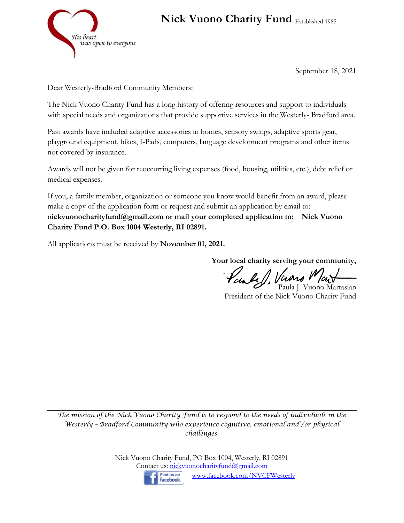

## **Nick Vuono Charity Fund** Established 1985

September 18, 2021

Dear Westerly-Bradford Community Members:

The Nick Vuono Charity Fund has a long history of offering resources and support to individuals with special needs and organizations that provide supportive services in the Westerly- Bradford area.

Past awards have included adaptive accessories in homes, sensory swings, adaptive sports gear, playground equipment, bikes, I-Pads, computers, language development programs and other items not covered by insurance.

Awards will not be given for reoccurring living expenses (food, housing, utilities, etc.), debt relief or medical expenses.

If you, a family member, organization or someone you know would benefit from an award, please make a copy of the application form or request and submit an application by email to: n**ickvuonocharityfund@gmail.com or mail your completed application to: Nick Vuono Charity Fund P.O. Box 1004 Westerly, RI 02891.** 

All applications must be received by **November 01, 2021.**

**Your local charity serving your community,**

Paule 1, Virono Went Paula J. Vuono Martasian

President of the Nick Vuono Charity Fund

*The mission of the Nick Vuono Charity Fund is to respond to the needs of individuals in the Westerly – Bradford Community who experience cognitive, emotional and /or physical challenges.*

> Nick Vuono Charity Fund, PO Box 1004, Westerly, RI 02891 Contact us: nickyuonocharityfund@gmail.com



[www.facebook.com/NVCFWesterly](http://www.facebook.com/NVCFWesterly)